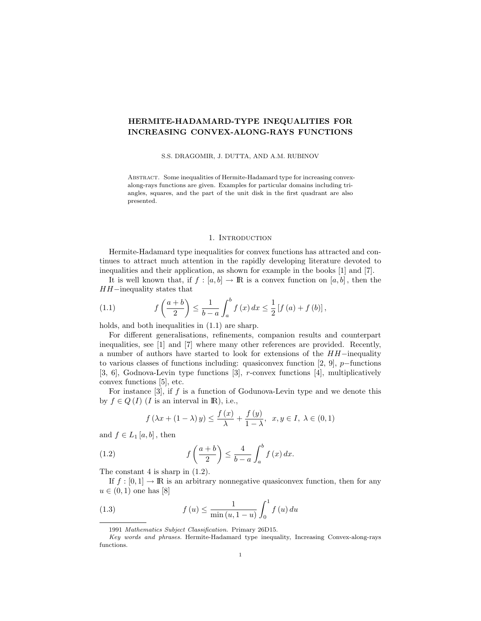# HERMITE-HADAMARD-TYPE INEQUALITIES FOR INCREASING CONVEX-ALONG-RAYS FUNCTIONS

S.S. DRAGOMIR, J. DUTTA, AND A.M. RUBINOV

ABSTRACT. Some inequalities of Hermite-Hadamard type for increasing convexalong-rays functions are given. Examples for particular domains including triangles, squares, and the part of the unit disk in the first quadrant are also presented.

#### 1. INTRODUCTION

Hermite-Hadamard type inequalities for convex functions has attracted and continues to attract much attention in the rapidly developing literature devoted to inequalities and their application, as shown for example in the books [1] and [7].

It is well known that, if  $f : [a, b] \to \mathbb{R}$  is a convex function on  $[a, b]$ , then the HH−inequality states that

(1.1) 
$$
f\left(\frac{a+b}{2}\right) \le \frac{1}{b-a} \int_a^b f(x) \, dx \le \frac{1}{2} \left[ f\left(a\right) + f\left(b\right) \right],
$$

holds, and both inequalities in  $(1.1)$  are sharp.

For different generalisations, refinements, companion results and counterpart inequalities, see [1] and [7] where many other references are provided. Recently, a number of authors have started to look for extensions of the HH−inequality to various classes of functions including: quasiconvex function [2, 9], p−functions [3, 6], Godnova-Levin type functions [3], r-convex functions [4], multiplicatively convex functions [5], etc.

For instance  $[3]$ , if f is a function of Godunova-Levin type and we denote this by  $f \in Q(I)$  (*I* is an interval in **R**), i.e.,

$$
f\left(\lambda x + (1 - \lambda)\,y\right) \le \frac{f\left(x\right)}{\lambda} + \frac{f\left(y\right)}{1 - \lambda}, \quad x, y \in I, \ \lambda \in (0, 1)
$$

and  $f \in L_1[a, b]$ , then

(1.2) 
$$
f\left(\frac{a+b}{2}\right) \leq \frac{4}{b-a} \int_a^b f(x) dx.
$$

The constant 4 is sharp in  $(1.2)$ .

If  $f : [0,1] \to \mathbb{R}$  is an arbitrary nonnegative quasiconvex function, then for any  $u \in (0, 1)$  one has [8]

(1.3) 
$$
f(u) \le \frac{1}{\min(u, 1-u)} \int_0^1 f(u) \, du
$$

<sup>1991</sup> Mathematics Subject Classification. Primary 26D15.

Key words and phrases. Hermite-Hadamard type inequality, Increasing Convex-along-rays functions.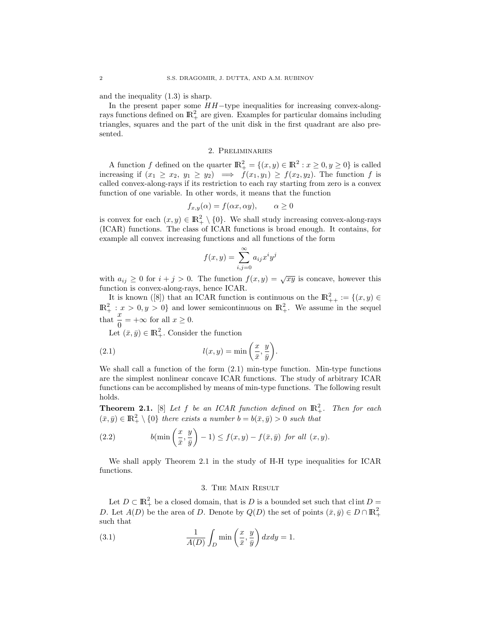and the inequality (1.3) is sharp.

In the present paper some HH−type inequalities for increasing convex-alongrays functions defined on  $\mathbb{R}^2_+$  are given. Examples for particular domains including triangles, squares and the part of the unit disk in the first quadrant are also presented.

### 2. Preliminaries

A function f defined on the quarter  $\mathbb{R}^2_+ = \{(x, y) \in \mathbb{R}^2 : x \geq 0, y \geq 0\}$  is called increasing if  $(x_1 \ge x_2, y_1 \ge y_2) \implies f(x_1, y_1) \ge f(x_2, y_2)$ . The function f is called convex-along-rays if its restriction to each ray starting from zero is a convex function of one variable. In other words, it means that the function

$$
f_{x,y}(\alpha) = f(\alpha x, \alpha y), \qquad \alpha \ge 0
$$

is convex for each  $(x, y) \in \mathbb{R}^2_+ \setminus \{0\}$ . We shall study increasing convex-along-rays (ICAR) functions. The class of ICAR functions is broad enough. It contains, for example all convex increasing functions and all functions of the form

$$
f(x,y) = \sum_{i,j=0}^{\infty} a_{ij} x^i y^j
$$

with  $a_{ij} \geq 0$  for  $i + j > 0$ . The function  $f(x, y) = \sqrt{xy}$  is concave, however this function is convex-along-rays, hence ICAR.

It is known ([8]) that an ICAR function is continuous on the  $\mathbb{R}^2_{++} := \{(x, y) \in$  $\mathbb{R}^2_+ : x > 0, y > 0$  and lower semicontinuous on  $\mathbb{R}^2_+$ . We assume in the sequel that  $\frac{x}{0} = +\infty$  for all  $x \ge 0$ .

Let  $(\bar{x}, \bar{y}) \in \mathbb{R}^2_+$ . Consider the function

(2.1) 
$$
l(x,y) = \min\left(\frac{x}{\bar{x}}, \frac{y}{\bar{y}}\right).
$$

We shall call a function of the form (2.1) min-type function. Min-type functions are the simplest nonlinear concave ICAR functions. The study of arbitrary ICAR functions can be accomplished by means of min-type functions. The following result holds.

**Theorem 2.1.** [8] Let f be an ICAR function defined on  $\mathbb{R}^2_+$ . Then for each  $(\bar{x}, \bar{y}) \in \mathbb{R}^2_+ \setminus \{0\}$  *there exists a number*  $b = b(\bar{x}, \bar{y}) > 0$  *such that* 

(2.2) 
$$
b(\min\left(\frac{x}{\bar{x}},\frac{y}{\bar{y}}\right)-1)\leq f(x,y)-f(\bar{x},\bar{y}) \ \text{for all } (x,y).
$$

We shall apply Theorem 2.1 in the study of H-H type inequalities for ICAR functions.

# 3. The Main Result

Let  $D \subset \mathbb{R}^2_+$  be a closed domain, that is D is a bounded set such that clint  $D =$ D. Let  $A(D)$  be the area of D. Denote by  $Q(D)$  the set of points  $(\bar{x}, \bar{y}) \in D \cap \mathbb{R}^2_+$ such that

(3.1) 
$$
\frac{1}{A(D)} \int_D \min\left(\frac{x}{\bar{x}}, \frac{y}{\bar{y}}\right) dxdy = 1.
$$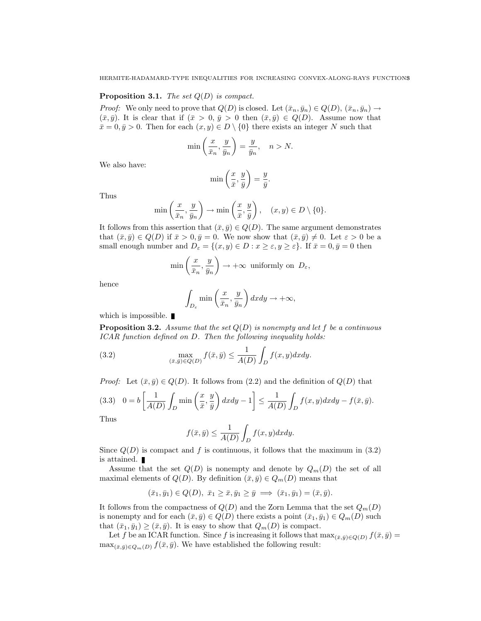#### Proposition 3.1. *The set* Q(D) *is compact.*

*Proof:* We only need to prove that  $Q(D)$  is closed. Let  $(\bar{x}_n, \bar{y}_n) \in Q(D)$ ,  $(\bar{x}_n, \bar{y}_n) \to$  $(\bar{x}, \bar{y})$ . It is clear that if  $(\bar{x} > 0, \bar{y} > 0$  then  $(\bar{x}, \bar{y}) \in Q(D)$ . Assume now that  $\bar{x}=0, \bar{y}>0$ . Then for each  $(x, y) \in D \setminus \{0\}$  there exists an integer N such that

$$
\min\left(\frac{x}{\bar{x}_n}, \frac{y}{\bar{y}_n}\right) = \frac{y}{\bar{y}_n}, \quad n > N.
$$

We also have:

$$
\min\left(\frac{x}{\bar{x}}, \frac{y}{\bar{y}}\right) = \frac{y}{\bar{y}}.
$$

Thus

$$
\min\left(\frac{x}{\bar{x}_n}, \frac{y}{\bar{y}_n}\right) \to \min\left(\frac{x}{\bar{x}}, \frac{y}{\bar{y}}\right), \quad (x, y) \in D \setminus \{0\}.
$$

It follows from this assertion that  $(\bar{x}, \bar{y}) \in Q(D)$ . The same argument demonstrates that  $(\bar{x}, \bar{y}) \in Q(D)$  if  $\bar{x} > 0, \bar{y} = 0$ . We now show that  $(\bar{x}, \bar{y}) \neq 0$ . Let  $\varepsilon > 0$  be a small enough number and  $D_{\varepsilon} = \{(x, y) \in D : x \geq \varepsilon, y \geq \varepsilon\}$ . If  $\bar{x} = 0, \bar{y} = 0$  then

$$
\min\left(\frac{x}{\bar{x}_n}, \frac{y}{\bar{y}_n}\right) \to +\infty \text{ uniformly on } D_{\varepsilon},
$$

hence

$$
\int_{D_{\varepsilon}} \min\left(\frac{x}{\bar{x}_n}, \frac{y}{\bar{y}_n}\right) dx dy \to +\infty,
$$

which is impossible.  $\blacksquare$ 

Proposition 3.2. *Assume that the set* Q(D) *is nonempty and let* f *be a continuous ICAR function defined on* D*. Then the following inequality holds:*

(3.2) 
$$
\max_{(\bar{x}, \bar{y}) \in Q(D)} f(\bar{x}, \bar{y}) \le \frac{1}{A(D)} \int_D f(x, y) dx dy.
$$

*Proof:* Let  $(\bar{x}, \bar{y}) \in Q(D)$ . It follows from (2.2) and the definition of  $Q(D)$  that

$$
(3.3) \quad 0 = b \left[ \frac{1}{A(D)} \int_D \min\left(\frac{x}{\bar{x}}, \frac{y}{\bar{y}}\right) dx dy - 1 \right] \le \frac{1}{A(D)} \int_D f(x, y) dx dy - f(\bar{x}, \bar{y}).
$$

Thus

$$
f(\bar{x}, \bar{y}) \le \frac{1}{A(D)} \int_D f(x, y) dx dy.
$$

Since  $Q(D)$  is compact and f is continuous, it follows that the maximum in (3.2) is attained.

Assume that the set  $Q(D)$  is nonempty and denote by  $Q_m(D)$  the set of all maximal elements of  $Q(D)$ . By definition  $(\bar{x}, \bar{y}) \in Q_m(D)$  means that

$$
(\bar{x}_1,\bar{y}_1)\in Q(D),\ \bar{x}_1\geq \bar{x},\bar{y}_1\geq \bar{y}\ \Longrightarrow\ (\bar{x}_1,\bar{y}_1)=(\bar{x},\bar{y}).
$$

It follows from the compactness of  $Q(D)$  and the Zorn Lemma that the set  $Q_m(D)$ is nonempty and for each  $(\bar{x}, \bar{y}) \in Q(D)$  there exists a point  $(\bar{x}_1, \bar{y}_1) \in Q_m(D)$  such that  $(\bar{x}_1, \bar{y}_1) \geq (\bar{x}, \bar{y})$ . It is easy to show that  $Q_m(D)$  is compact.

Let f be an ICAR function. Since f is increasing it follows that  $\max_{(\bar{x},\bar{y})\in Q(D)} f(\bar{x},\bar{y}) =$  $\max_{(\bar{x},\bar{y})\in Q_m(D)} f(\bar{x},\bar{y})$ . We have established the following result: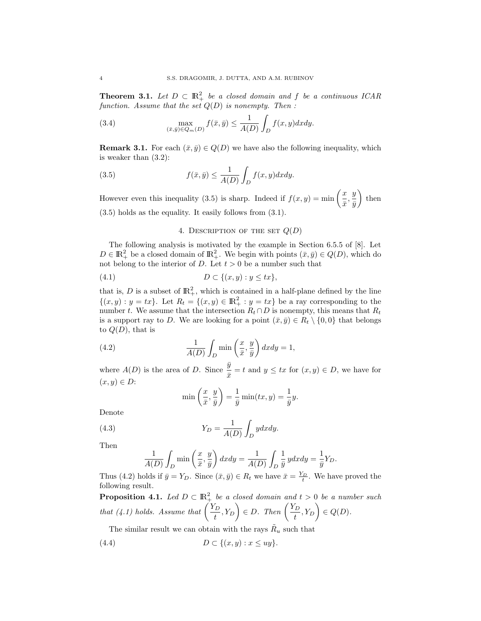**Theorem 3.1.** Let  $D \subset \mathbb{R}^2_+$  be a closed domain and f be a continuous ICAR *function. Assume that the set* Q(D) *is nonempty. Then :*

(3.4) 
$$
\max_{(\bar{x}, \bar{y}) \in Q_m(D)} f(\bar{x}, \bar{y}) \le \frac{1}{A(D)} \int_D f(x, y) dx dy.
$$

**Remark 3.1.** For each  $(\bar{x}, \bar{y}) \in Q(D)$  we have also the following inequality, which is weaker than (3.2):

(3.5) 
$$
f(\bar{x}, \bar{y}) \le \frac{1}{A(D)} \int_D f(x, y) dx dy.
$$

However even this inequality (3.5) is sharp. Indeed if  $f(x, y) = \min_{x \in \mathbb{R}^n} \left( \frac{x}{x} \right)$  $rac{x}{\bar{x}}, \frac{y}{\bar{y}}$  $\bar{y}$  $\Big)$  then (3.5) holds as the equality. It easily follows from (3.1).

4. DESCRIPTION OF THE SET  $Q(D)$ 

The following analysis is motivated by the example in Section 6.5.5 of [8]. Let  $D \in \mathbb{R}_+^2$  be a closed domain of  $\mathbb{R}_+^2$ . We begin with points  $(\bar{x}, \bar{y}) \in Q(D)$ , which do not belong to the interior of D. Let  $t > 0$  be a number such that

$$
(4.1) \t\t D \subset \{(x,y): y \le tx\},\
$$

that is, D is a subset of  $\mathbb{R}^2_+$ , which is contained in a half-plane defined by the line  $\{(x,y): y = tx\}$ . Let  $R_t = \{(x,y) \in \mathbb{R}^2_+ : y = tx\}$  be a ray corresponding to the number t. We assume that the intersection  $R_t \cap D$  is nonempty, this means that  $R_t$ is a support ray to D. We are looking for a point  $(\bar{x}, \bar{y}) \in R_t \setminus \{0, 0\}$  that belongs to  $Q(D)$ , that is

(4.2) 
$$
\frac{1}{A(D)} \int_{D} \min\left(\frac{x}{\bar{x}}, \frac{y}{\bar{y}}\right) dxdy = 1,
$$

where  $A(D)$  is the area of D. Since  $\frac{\overline{y}}{\overline{x}} = t$  and  $y \le tx$  for  $(x, y) \in D$ , we have for  $(x, y) \in D$ :

$$
\min\left(\frac{x}{\bar{x}}, \frac{y}{\bar{y}}\right) = \frac{1}{\bar{y}}\min(tx, y) = \frac{1}{\bar{y}}y.
$$

Denote

(4.3) 
$$
Y_D = \frac{1}{A(D)} \int_D y dx dy.
$$

Then

$$
\frac{1}{A(D)} \int_D \min\left(\frac{x}{\bar{x}}, \frac{y}{\bar{y}}\right) dxdy = \frac{1}{A(D)} \int_D \frac{1}{\bar{y}} y dxdy = \frac{1}{\bar{y}} Y_D.
$$

Thus (4.2) holds if  $\bar{y} = Y_D$ . Since  $(\bar{x}, \bar{y}) \in R_t$  we have  $\bar{x} = \frac{Y_D}{t}$ . We have proved the following result.

**Proposition 4.1.** *Led*  $D \subset \mathbb{R}^2_+$  *be a closed domain and*  $t > 0$  *be a number such that* (4.1) *holds.* Assume that  $\left(\frac{Y_D}{Y}\right)$  $\left(\frac{L}{t}, Y_D\right) \in D$ . Then  $\left(\frac{Y_D}{t}\right)$  $\left(\frac{D}{t}, Y_D\right) \in Q(D).$ 

The similar result we can obtain with the rays  $\tilde{R}_u$  such that

$$
(4.4) \t\t D \subset \{(x,y): x \le uy\}.
$$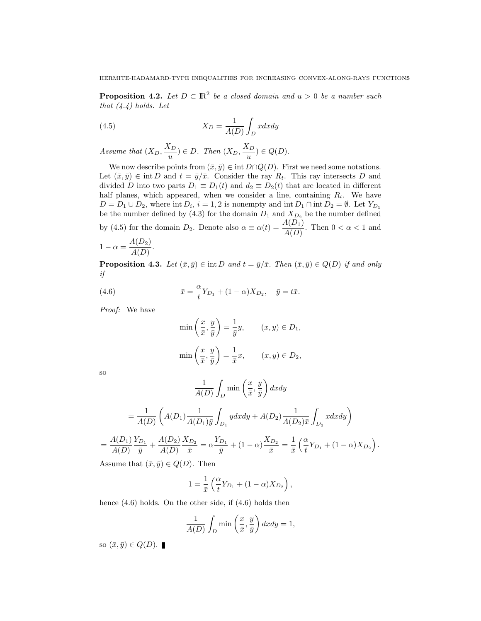**Proposition 4.2.** *Let*  $D \subset \mathbb{R}^2$  *be a closed domain and*  $u > 0$  *be a number such that (4.4) holds. Let*

(4.5) 
$$
X_D = \frac{1}{A(D)} \int_D x dx dy
$$

*Assume that*  $(X_D, \frac{X_D}{X_D})$  $\frac{(X_D)}{u}$ )  $\in D$ . Then  $(X_D, \frac{X_D}{u})$  $\frac{d^2D}{u}$ )  $\in Q(D)$ .

We now describe points from  $(\bar{x}, \bar{y}) \in \text{int } D \cap Q(D)$ . First we need some notations. Let  $(\bar{x}, \bar{y}) \in \text{int } D$  and  $t = \bar{y}/\bar{x}$ . Consider the ray  $R_t$ . This ray intersects D and divided D into two parts  $D_1 \equiv D_1(t)$  and  $d_2 \equiv D_2(t)$  that are located in different half planes, which appeared, when we consider a line, containing  $R_t$ . We have  $D = D_1 \cup D_2$ , where int  $D_i$ ,  $i = 1, 2$  is nonempty and int  $D_1 \cap \text{int } D_2 = \emptyset$ . Let  $Y_{D_1}$ be the number defined by (4.3) for the domain  $D_1$  and  $X_{D_2}$  be the number defined by (4.5) for the domain  $D_2$ . Denote also  $\alpha \equiv \alpha(t) = \frac{A(D_1)}{A(D)}$ . Then  $0 < \alpha < 1$  and

$$
1 - \alpha = \frac{A(D_2)}{A(D)}.
$$

**Proposition 4.3.** *Let*  $(\bar{x}, \bar{y}) \in \text{int } D$  *and*  $t = \bar{y}/\bar{x}$ *. Then*  $(\bar{x}, \bar{y}) \in Q(D)$  *if and only if*

(4.6) 
$$
\bar{x} = \frac{\alpha}{t} Y_{D_1} + (1 - \alpha) X_{D_2}, \quad \bar{y} = t\bar{x}.
$$

*Proof:* We have

$$
\min\left(\frac{x}{\bar{x}}, \frac{y}{\bar{y}}\right) = \frac{1}{\bar{y}}y, \qquad (x, y) \in D_1,
$$

$$
\min\left(\frac{x}{\bar{x}}, \frac{y}{\bar{y}}\right) = \frac{1}{\bar{x}}x, \qquad (x, y) \in D_2,
$$

so

=

$$
\frac{1}{A(D)} \int_{D} \min\left(\frac{x}{\bar{x}}, \frac{y}{\bar{y}}\right) dxdy
$$

$$
= \frac{1}{A(D)} \left(A(D_1) \frac{1}{A(D_1)\bar{y}} \int_{D_1} y dxdy + A(D_2) \frac{1}{A(D_2)\bar{x}} \int_{D_2} x dxdy\right)
$$

$$
\frac{A(D_1) Y_{D_1}}{A(D)} + \frac{A(D_2) X_{D_2}}{A(D)} = \alpha \frac{Y_{D_1}}{\bar{y}} + (1 - \alpha) \frac{X_{D_2}}{\bar{x}} = \frac{1}{\bar{x}} \left(\frac{\alpha}{t} Y_{D_1} + (1 - \alpha) X_{D_2}\right)
$$

.

Assume that  $(\bar{x}, \bar{y}) \in Q(D)$ . Then

$$
1 = \frac{1}{\bar{x}} \left( \frac{\alpha}{t} Y_{D_1} + (1 - \alpha) X_{D_2} \right),
$$

hence  $(4.6)$  holds. On the other side, if  $(4.6)$  holds then

$$
\frac{1}{A(D)} \int_D \min\left(\frac{x}{\bar{x}}, \frac{y}{\bar{y}}\right) dx dy = 1,
$$

so  $(\bar{x}, \bar{y}) \in Q(D)$ .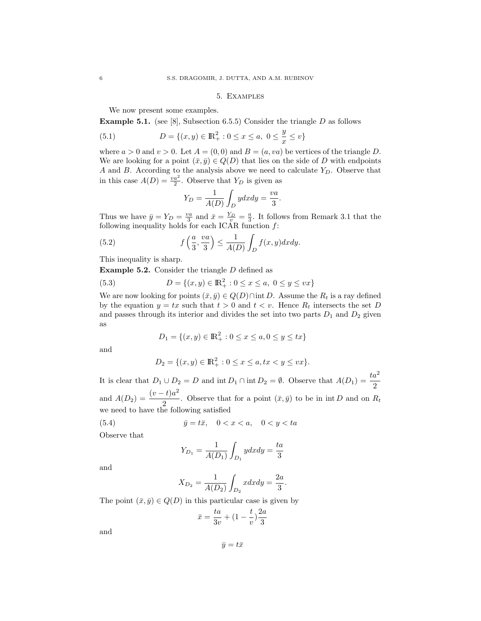#### 5. Examples

We now present some examples.

**Example 5.1.** (see [8], Subsection 6.5.5) Consider the triangle  $D$  as follows

(5.1) 
$$
D = \{(x, y) \in \mathbb{R}^2_+ : 0 \le x \le a, \ 0 \le \frac{y}{x} \le v\}
$$

where  $a > 0$  and  $v > 0$ . Let  $A = (0, 0)$  and  $B = (a, va)$  be vertices of the triangle D. We are looking for a point  $(\bar{x}, \bar{y}) \in Q(D)$  that lies on the side of D with endpoints A and B. According to the analysis above we need to calculate  $Y_D$ . Observe that in this case  $A(D) = \frac{va^2}{2}$ . Observe that  $Y_D$  is given as

$$
Y_D = \frac{1}{A(D)} \int_D y dx dy = \frac{va}{3}.
$$

Thus we have  $\bar{y} = Y_D = \frac{va}{3}$  and  $\bar{x} = \frac{Y_D}{v} = \frac{a}{3}$ . It follows from Remark 3.1 that the following inequality holds for each ICAR function  $f$ :

(5.2) 
$$
f\left(\frac{a}{3}, \frac{va}{3}\right) \le \frac{1}{A(D)} \int_D f(x, y) dx dy.
$$

This inequality is sharp.

**Example 5.2.** Consider the triangle  $D$  defined as

(5.3) 
$$
D = \{(x, y) \in \mathbb{R}^2_+ : 0 \le x \le a, \ 0 \le y \le vx\}
$$

We are now looking for points  $(\bar{x}, \bar{y}) \in Q(D) \cap \text{int } D$ . Assume the  $R_t$  is a ray defined by the equation  $y = tx$  such that  $t > 0$  and  $t < v$ . Hence  $R_t$  intersects the set D and passes through its interior and divides the set into two parts  $D_1$  and  $D_2$  given as

$$
D_1 = \{(x, y) \in \mathbb{R}_+^2 : 0 \le x \le a, 0 \le y \le tx\}
$$

and

$$
D_2 = \{(x, y) \in {\rm I\!R}^2_+: 0 \leq x \leq a, tx < y \leq vx\}.
$$

It is clear that  $D_1 \cup D_2 = D$  and  $\text{int } D_1 \cap \text{int } D_2 = \emptyset$ . Observe that  $A(D_1) = \frac{ta^2}{2}$ and  $A(D_2) = \frac{(v-t)a^2}{2}$  $\frac{1}{2}$ . Observe that for a point  $(\bar{x}, \bar{y})$  to be in int D and on  $R_t$ we need to have the following satisfied

(5.4) 
$$
\bar{y} = t\bar{x}, \quad 0 < x < a, \quad 0 < y < ta
$$

Observe that

$$
Y_{D_1} = \frac{1}{A(D_1)} \int_{D_1} y dx dy = \frac{ta}{3}
$$

and

$$
X_{D_2} = \frac{1}{A(D_2)} \int_{D_2} x dx dy = \frac{2a}{3}.
$$

The point  $(\bar{x}, \bar{y}) \in Q(D)$  in this particular case is given by

$$
\bar{x} = \frac{ta}{3v} + (1 - \frac{t}{v})\frac{2a}{3}
$$

and

 $\bar{y} = t\bar{x}$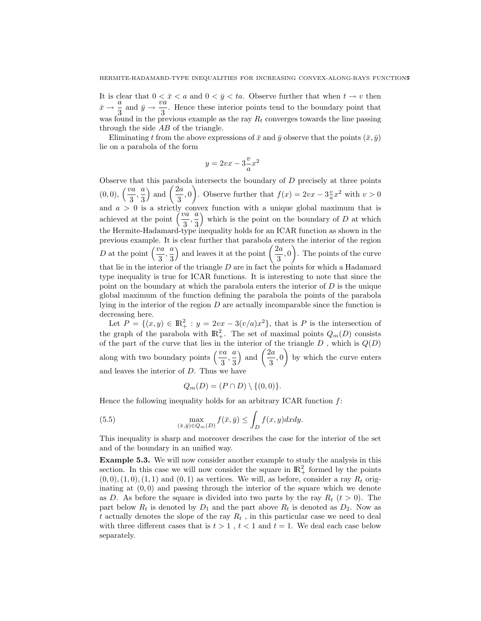It is clear that  $0 < \bar{x} < a$  and  $0 < \bar{y} < ta$ . Observe further that when  $t \to v$  then  $\bar{x} \rightarrow \frac{\bar{a}}{3}$  $rac{a}{3}$  and  $\bar{y} \rightarrow \frac{\dot{v}\dot{a}}{3}$  $\frac{\pi}{3}$ . Hence these interior points tend to the boundary point that was found in the previous example as the ray  $R_t$  converges towards the line passing through the side AB of the triangle.

Eliminating t from the above expressions of  $\bar{x}$  and  $\bar{y}$  observe that the points  $(\bar{x}, \bar{y})$ lie on a parabola of the form

$$
y = 2vx - 3\frac{v}{a}x^2
$$

Observe that this parabola intersects the boundary of  $D$  precisely at three points  $(0,0), \ \left(\frac{va}{3}, \frac{a}{3}\right)$ 3 ) and  $\left(\frac{2a}{2}\right)$  $\left( \frac{2a}{3}, 0 \right)$ . Observe further that  $f(x) = 2vx - 3\frac{v}{a}x^2$  with  $v > 0$ and  $a > 0$  is a strictly convex function with a unique global maximum that is<br>achieved at the point  $\left(\frac{va}{3}, \frac{a}{3}\right)$  which is the point on the boundary of D at which 3 which is the point on the boundary of  $D$  at which the Hermite-Hadamard-type inequality holds for an ICAR function as shown in the previous example. It is clear further that parabola enters the interior of the region D at the point  $\left(\frac{va}{3}, \frac{a}{3}\right)$ 3 ) and leaves it at the point  $\left(\frac{2a}{2}\right)$  $\left(\frac{2a}{3},0\right)$ . The points of the curve that lie in the interior of the triangle  $D$  are in fact the points for which a Hadamard type inequality is true for ICAR functions. It is interesting to note that since the point on the boundary at which the parabola enters the interior of  $D$  is the unique global maximum of the function defining the parabola the points of the parabola lying in the interior of the region  $D$  are actually incomparable since the function is decreasing here.

Let  $P = \{(x, y) \in \mathbb{R}^2_+ : y = 2vx - 3(v/a)x^2\}$ , that is P is the intersection of the graph of the parabola with  $\mathbb{R}^2_+$ . The set of maximal points  $Q_m(D)$  consists of the part of the curve that lies in the interior of the triangle  $D$ , which is  $Q(D)$ along with two boundary points  $\left(\frac{va}{3}, \frac{a}{3}\right)$ 3 ) and  $\left(\frac{2a}{2}\right)$  $\left(\frac{2a}{3},0\right)$  by which the curve enters and leaves the interior of  $D$ . Thus we have

$$
Q_m(D) = (P \cap D) \setminus \{(0,0)\}.
$$

Hence the following inequality holds for an arbitrary ICAR function  $f$ :

(5.5) 
$$
\max_{(\bar{x}, \bar{y}) \in Q_m(D)} f(\bar{x}, \bar{y}) \le \int_D f(x, y) dx dy.
$$

This inequality is sharp and moreover describes the case for the interior of the set and of the boundary in an unified way.

Example 5.3. We will now consider another example to study the analysis in this section. In this case we will now consider the square in  $\mathbb{R}^2_+$  formed by the points  $(0, 0), (1, 0), (1, 1)$  and  $(0, 1)$  as vertices. We will, as before, consider a ray  $R_t$  originating at  $(0, 0)$  and passing through the interior of the square which we denote as D. As before the square is divided into two parts by the ray  $R_t$  (t > 0). The part below  $R_t$  is denoted by  $D_1$  and the part above  $R_t$  is denoted as  $D_2$ . Now as t actually denotes the slope of the ray  $R_t$ , in this particular case we need to deal with three different cases that is  $t > 1$ ,  $t < 1$  and  $t = 1$ . We deal each case below separately.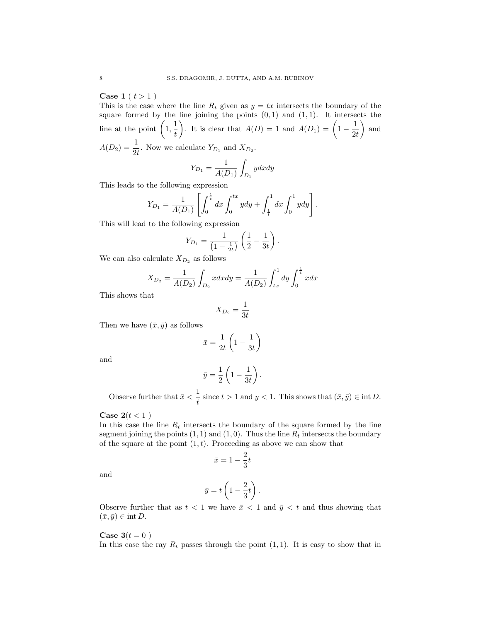**Case 1** ( $t > 1$ )

This is the case where the line  $R_t$  given as  $y = tx$  intersects the boundary of the square formed by the line joining the points  $(0, 1)$  and  $(1, 1)$ . It intersects the line at the point  $\left(1, \frac{1}{t}\right)$ t ). It is clear that  $A(D) = 1$  and  $A(D_1) = \left(1 - \frac{1}{2n}\right)$  $2t$ ) and  $A(D_2) = \frac{1}{2t}$ . Now we calculate  $Y_{D_1}$  and  $X_{D_2}$ .

$$
Y_{D_1} = \frac{1}{A(D_1)} \int_{D_1} y dx dy
$$

This leads to the following expression

$$
Y_{D_1} = \frac{1}{A(D_1)} \left[ \int_0^{\frac{1}{t}} dx \int_0^{tx} y dy + \int_{\frac{1}{t}}^1 dx \int_0^1 y dy \right].
$$

This will lead to the following expression

$$
Y_{D_1} = \frac{1}{\left(1 - \frac{1}{2t}\right)} \left(\frac{1}{2} - \frac{1}{3t}\right).
$$

We can also calculate  $X_{D_2}$  as follows

$$
X_{D_2} = \frac{1}{A(D_2)} \int_{D_2} x dx dy = \frac{1}{A(D_2)} \int_{tx}^{1} dy \int_{0}^{\frac{1}{t}} x dx
$$

This shows that

$$
X_{D_2} = \frac{1}{3t}
$$

Then we have  $(\bar{x}, \bar{y})$  as follows

$$
\bar{x} = \frac{1}{2t} \left( 1 - \frac{1}{3t} \right)
$$

and

$$
\bar{y} = \frac{1}{2} \left( 1 - \frac{1}{3t} \right).
$$

Observe further that  $\bar{x} < \frac{1}{t}$  $\frac{1}{t}$  since  $t > 1$  and  $y < 1$ . This shows that  $(\bar{x}, \bar{y}) \in \text{int } D$ .

Case  $2(t < 1)$ 

In this case the line  $R_t$  intersects the boundary of the square formed by the line segment joining the points  $(1, 1)$  and  $(1, 0)$ . Thus the line  $R_t$  intersects the boundary of the square at the point  $(1, t)$ . Proceeding as above we can show that

$$
\bar{x} = 1 - \frac{2}{3}t
$$

and

$$
\bar{y}=t\left(1-\frac{2}{3}t\right).
$$

Observe further that as  $t < 1$  we have  $\bar{x} < 1$  and  $\bar{y} < t$  and thus showing that  $(\bar{x}, \bar{y}) \in \text{int } D.$ 

## Case  $3(t=0)$

In this case the ray  $R_t$  passes through the point  $(1, 1)$ . It is easy to show that in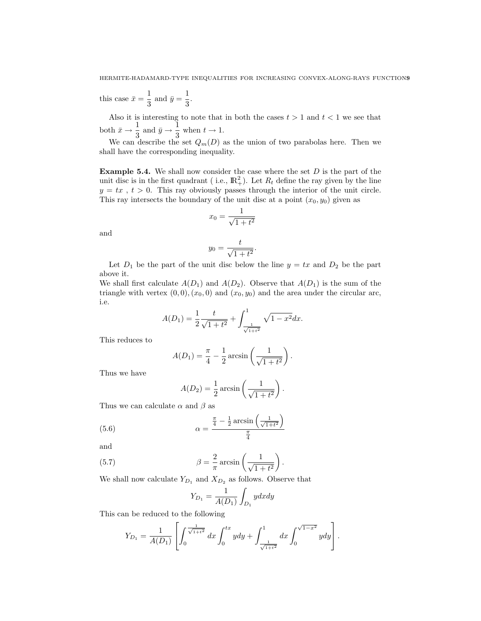this case  $\bar{x} = \frac{1}{2}$  $\frac{1}{3}$  and  $\bar{y} = \frac{1}{3}$  $\frac{1}{3}$ .

Also it is interesting to note that in both the cases  $t > 1$  and  $t < 1$  we see that both  $\bar{x} \to \frac{1}{3}$  $rac{1}{3}$  and  $\bar{y} \rightarrow \frac{1}{3}$  $\frac{1}{3}$  when  $t \to 1$ .

We can describe the set  $Q_m(D)$  as the union of two parabolas here. Then we shall have the corresponding inequality.

**Example 5.4.** We shall now consider the case where the set  $D$  is the part of the unit disc is in the first quadrant (i.e.,  $\mathbb{R}^2_+$ ). Let  $R_t$  define the ray given by the line  $y = tx$ ,  $t > 0$ . This ray obviously passes through the interior of the unit circle. This ray intersects the boundary of the unit disc at a point  $(x_0, y_0)$  given as

$$
x_0 = \frac{1}{\sqrt{1+t^2}}
$$

and

$$
y_0 = \frac{t}{\sqrt{1+t^2}}.
$$

Let  $D_1$  be the part of the unit disc below the line  $y = tx$  and  $D_2$  be the part above it.

We shall first calculate  $A(D_1)$  and  $A(D_2)$ . Observe that  $A(D_1)$  is the sum of the triangle with vertex  $(0, 0), (x_0, 0)$  and  $(x_0, y_0)$  and the area under the circular arc, i.e.

$$
A(D_1) = \frac{1}{2} \frac{t}{\sqrt{1+t^2}} + \int_{\frac{1}{\sqrt{1+t^2}}}^{1} \sqrt{1-x^2} dx.
$$

This reduces to

$$
A(D_1) = \frac{\pi}{4} - \frac{1}{2} \arcsin\left(\frac{1}{\sqrt{1+t^2}}\right).
$$

Thus we have

$$
A(D_2) = \frac{1}{2}\arcsin\left(\frac{1}{\sqrt{1+t^2}}\right).
$$

Thus we can calculate  $\alpha$  and  $\beta$  as

(5.6) 
$$
\alpha = \frac{\frac{\pi}{4} - \frac{1}{2}\arcsin\left(\frac{1}{\sqrt{1+t^2}}\right)}{\frac{\pi}{4}}
$$

and

(5.7) 
$$
\beta = \frac{2}{\pi} \arcsin\left(\frac{1}{\sqrt{1+t^2}}\right).
$$

We shall now calculate  $Y_{D_1}$  and  $X_{D_2}$  as follows. Observe that

$$
Y_{D_1} = \frac{1}{A(D_1)} \int_{D_1} y dx dy
$$

This can be reduced to the following

$$
Y_{D_1} = \frac{1}{A(D_1)} \left[ \int_0^{\frac{1}{\sqrt{1+t^2}}} dx \int_0^{tx} y dy + \int_{\frac{1}{\sqrt{1+t^2}}}^1 dx \int_0^{\sqrt{1-x^2}} y dy \right].
$$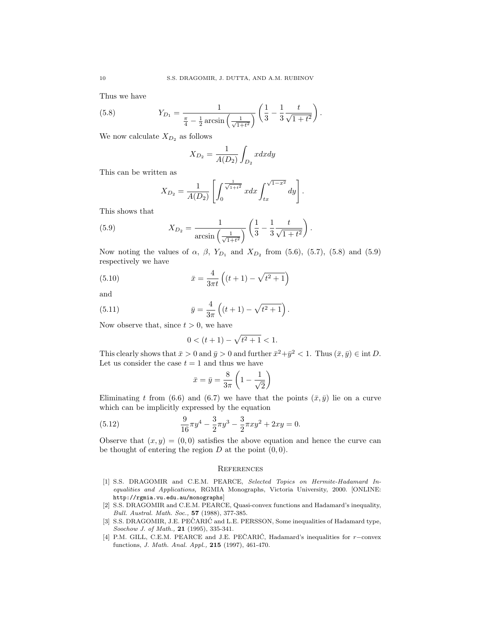Thus we have

(5.8) 
$$
Y_{D_1} = \frac{1}{\frac{\pi}{4} - \frac{1}{2}\arcsin\left(\frac{1}{\sqrt{1+t^2}}\right)} \left(\frac{1}{3} - \frac{1}{3}\frac{t}{\sqrt{1+t^2}}\right).
$$

We now calculate  $X_{D_2}$  as follows

$$
X_{D_2} = \frac{1}{A(D_2)} \int_{D_2} x dx dy
$$

This can be written as

$$
X_{D_2} = \frac{1}{A(D_2)} \left[ \int_0^{\frac{1}{\sqrt{1+t^2}}} x dx \int_{tx}^{\sqrt{1-x^2}} dy \right].
$$

This shows that

(5.9) 
$$
X_{D_2} = \frac{1}{\arcsin\left(\frac{1}{\sqrt{1+t^2}}\right)} \left(\frac{1}{3} - \frac{1}{3} \frac{t}{\sqrt{1+t^2}}\right).
$$

Now noting the values of  $\alpha$ ,  $\beta$ ,  $Y_{D_1}$  and  $X_{D_2}$  from (5.6), (5.7), (5.8) and (5.9) respectively we have

(5.10) 
$$
\bar{x} = \frac{4}{3\pi t} \left( (t+1) - \sqrt{t^2 + 1} \right)
$$

and

(5.11) 
$$
\bar{y} = \frac{4}{3\pi} \left( (t+1) - \sqrt{t^2+1} \right).
$$

Now observe that, since  $t > 0$ , we have

$$
0 < (t+1) - \sqrt{t^2 + 1} < 1.
$$

This clearly shows that  $\bar{x} > 0$  and  $\bar{y} > 0$  and further  $\bar{x}^2 + \bar{y}^2 < 1$ . Thus  $(\bar{x}, \bar{y}) \in \text{int } D$ . Let us consider the case  $t = 1$  and thus we have

$$
\bar{x} = \bar{y} = \frac{8}{3\pi} \left( 1 - \frac{1}{\sqrt{2}} \right)
$$

Eliminating t from (6.6) and (6.7) we have that the points  $(\bar{x}, \bar{y})$  lie on a curve which can be implicitly expressed by the equation

(5.12) 
$$
\frac{9}{16}\pi y^4 - \frac{3}{2}\pi y^3 - \frac{3}{2}\pi xy^2 + 2xy = 0.
$$

Observe that  $(x, y) = (0, 0)$  satisfies the above equation and hence the curve can be thought of entering the region  $D$  at the point  $(0, 0)$ .

### **REFERENCES**

- [1] S.S. DRAGOMIR and C.E.M. PEARCE, Selected Topics on Hermite-Hadamard Inequalities and Applications, RGMIA Monographs, Victoria University, 2000. [ONLINE: http://rgmia.vu.edu.au/monographs]
- [2] S.S. DRAGOMIR and C.E.M. PEARCE, Quasi-convex functions and Hadamard's inequality, Bull. Austral. Math. Soc., 57 (1988), 377-385.
- [3] S.S. DRAGOMIR, J.E. PEČARIĆ and L.E. PERSSON, Some inequalities of Hadamard type, Soochow J. of Math., 21 (1995), 335-341.
- [4] P.M. GILL, C.E.M. PEARCE and J.E. PEČARIĆ, Hadamard's inequalities for  $r$ -convex functions, J. Math. Anal. Appl., 215 (1997), 461-470.